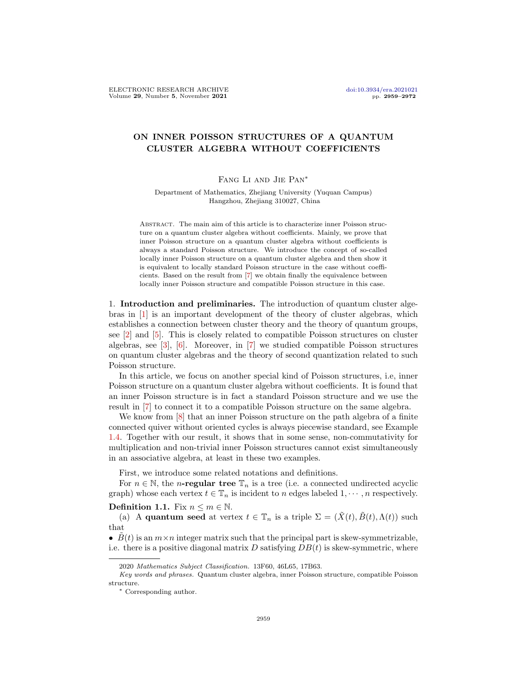## ON INNER POISSON STRUCTURES OF A QUANTUM CLUSTER ALGEBRA WITHOUT COEFFICIENTS

## Fang Li and Jie Pan∗

Department of Mathematics, Zhejiang University (Yuquan Campus) Hangzhou, Zhejiang 310027, China

Abstract. The main aim of this article is to characterize inner Poisson structure on a quantum cluster algebra without coefficients. Mainly, we prove that inner Poisson structure on a quantum cluster algebra without coefficients is always a standard Poisson structure. We introduce the concept of so-called locally inner Poisson structure on a quantum cluster algebra and then show it is equivalent to locally standard Poisson structure in the case without coefficients. Based on the result from [\[7\]](#page-13-0) we obtain finally the equivalence between locally inner Poisson structure and compatible Poisson structure in this case.

1. Introduction and preliminaries. The introduction of quantum cluster algebras in [\[1\]](#page-13-1) is an important development of the theory of cluster algebras, which establishes a connection between cluster theory and the theory of quantum groups, see [\[2\]](#page-13-2) and [\[5\]](#page-13-3). This is closely related to compatible Poisson structures on cluster algebras, see  $\lbrack 3\rbrack$ ,  $\lbrack 6\rbrack$ . Moreover, in  $\lbrack 7\rbrack$  we studied compatible Poisson structures on quantum cluster algebras and the theory of second quantization related to such Poisson structure.

In this article, we focus on another special kind of Poisson structures, i.e, inner Poisson structure on a quantum cluster algebra without coefficients. It is found that an inner Poisson structure is in fact a standard Poisson structure and we use the result in [\[7\]](#page-13-0) to connect it to a compatible Poisson structure on the same algebra.

We know from  $[8]$  that an inner Poisson structure on the path algebra of a finite connected quiver without oriented cycles is always piecewise standard, see Example [1.4.](#page-2-0) Together with our result, it shows that in some sense, non-commutativity for multiplication and non-trivial inner Poisson structures cannot exist simultaneously in an associative algebra, at least in these two examples.

First, we introduce some related notations and definitions.

For  $n \in \mathbb{N}$ , the *n*-regular tree  $\mathbb{T}_n$  is a tree (i.e. a connected undirected acyclic graph) whose each vertex  $t \in \mathbb{T}_n$  is incident to n edges labeled  $1, \dots, n$  respectively.

**Definition 1.1.** Fix  $n \leq m \in \mathbb{N}$ .

(a) A quantum seed at vertex  $t \in \mathbb{T}_n$  is a triple  $\Sigma = (\tilde{X}(t), \tilde{B}(t), \Lambda(t))$  such that

•  $\hat{B}(t)$  is an  $m \times n$  integer matrix such that the principal part is skew-symmetrizable, i.e. there is a positive diagonal matrix  $D$  satisfying  $DB(t)$  is skew-symmetric, where

<sup>2020</sup> Mathematics Subject Classification. 13F60, 46L65, 17B63.

Key words and phrases. Quantum cluster algebra, inner Poisson structure, compatible Poisson structure.

<sup>∗</sup> Corresponding author.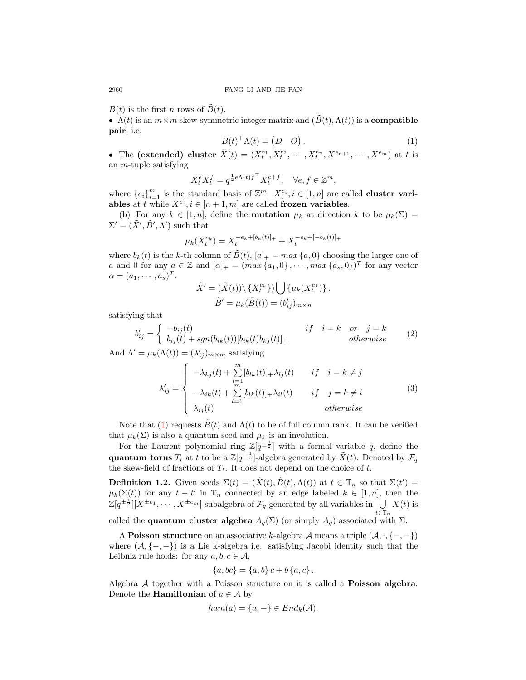$B(t)$  is the first n rows of  $\tilde{B}(t)$ .

•  $\Lambda(t)$  is an  $m \times m$  skew-symmetric integer matrix and  $(\dot{B}(t), \Lambda(t))$  is a **compatible** pair, i.e,

<span id="page-1-0"></span>
$$
\tilde{B}(t)^{\top} \Lambda(t) = \begin{pmatrix} D & O \end{pmatrix}.
$$
 (1)

• The (extended) cluster  $\tilde{X}(t) = (X_t^{e_1}, X_t^{e_2}, \cdots, X_t^{e_n}, X^{e_{n+1}}, \cdots, X^{e_m})$  at t is an m-tuple satisfying

$$
X^e_t X^f_t = q^{\frac{1}{2}e\Lambda(t)f^\top} X^{e+f}_t, \quad \forall e,f\in \mathbb{Z}^m,
$$

where  ${e_i}_{i=1}^m$  is the standard basis of  $\mathbb{Z}^m$ .  $X_t^{e_i}, i \in [1, n]$  are called **cluster vari**ables at t while  $X^{e_i}, i \in [n+1,m]$  are called frozen variables.

(b) For any  $k \in [1, n]$ , define the **mutation**  $\mu_k$  at direction k to be  $\mu_k(\Sigma)$  $\Sigma' = (\tilde{X}', \tilde{B}', \Lambda')$  such that

$$
\mu_k(X_t^{e_k}) = X_t^{-e_k + [b_k(t)]_+} + X_t^{-e_k + [-b_k(t)]_+}
$$

where  $b_k(t)$  is the k-th column of  $\tilde{B}(t)$ ,  $[a]_+ = max\{a, 0\}$  choosing the larger one of a and 0 for any  $a \in \mathbb{Z}$  and  $[\alpha]_+ = (max\{a_1, 0\}, \cdots, max\{a_s, 0\})^T$  for any vector  $\alpha = (a_1, \cdots, a_s)^T.$ 

$$
\tilde{X}' = (\tilde{X}(t)) \setminus \{X_t^{e_k}\} ) \bigcup \{ \mu_k(X_t^{e_k}) \} .
$$

$$
\tilde{B}' = \mu_k(\tilde{B}(t)) = (b'_{ij})_{m \times n}
$$

satisfying that

$$
b'_{ij} = \begin{cases} -b_{ij}(t) & if \quad i = k \quad or \quad j = k \\ b_{ij}(t) + sgn(b_{ik}(t))[b_{ik}(t)b_{kj}(t)]_{+} & otherwise \end{cases}
$$
 (2)

And  $\Lambda' = \mu_k(\Lambda(t)) = (\lambda'_{ij})_{m \times m}$  satisfying

$$
\lambda'_{ij} = \begin{cases}\n-\lambda_{kj}(t) + \sum_{l=1}^{m} [b_{lk}(t)]_+ \lambda_{lj}(t) & if \quad i = k \neq j \\
-\lambda_{ik}(t) + \sum_{l=1}^{m} [b_{lk}(t)]_+ \lambda_{il}(t) & if \quad j = k \neq i \\
\lambda_{ij}(t) & otherwise\n\end{cases}
$$
\n(3)

Note that [\(1\)](#page-1-0) requests  $\tilde{B}(t)$  and  $\Lambda(t)$  to be of full column rank. It can be verified that  $\mu_k(\Sigma)$  is also a quantum seed and  $\mu_k$  is an involution.

For the Laurent polynomial ring  $\mathbb{Z}[q^{\pm \frac{1}{2}}]$  with a formal variable q, define the quantum torus  $T_t$  at t to be a  $\mathbb{Z}[q^{\pm \frac{1}{2}}]$ -algebra generated by  $\tilde{X}(t)$ . Denoted by  $\mathcal{F}_q$ the skew-field of fractions of  $T_t$ . It does not depend on the choice of t.

**Definition 1.2.** Given seeds  $\Sigma(t) = (\tilde{X}(t), \tilde{B}(t), \Lambda(t))$  at  $t \in \mathbb{T}_n$  so that  $\Sigma(t') =$  $\mu_k(\Sigma(t))$  for any  $t-t'$  in  $\mathbb{T}_n$  connected by an edge labeled  $k \in [1,n]$ , then the  $\mathbb{Z}[q^{\pm \frac{1}{2}}][X^{\pm e_1}, \cdots, X^{\pm e_m}]$ -subalgebra of  $\mathcal{F}_q$  generated by all variables in  $\bigcup X(t)$  is  $t \in \mathbb{T}_n$ 

called the **quantum cluster algebra**  $A_q(\Sigma)$  (or simply  $A_q$ ) associated with  $\Sigma$ .

A Poisson structure on an associative k-algebra A means a triple  $(A, \cdot, \{-, -\})$ where  $(A, \{-, -\})$  is a Lie k-algebra i.e. satisfying Jacobi identity such that the Leibniz rule holds: for any  $a, b, c \in \mathcal{A}$ ,

$$
\{a, bc\} = \{a, b\} c + b \{a, c\}.
$$

Algebra A together with a Poisson structure on it is called a Poisson algebra. Denote the **Hamiltonian** of  $a \in \mathcal{A}$  by

$$
ham(a) = \{a, -\} \in End_k(\mathcal{A}).
$$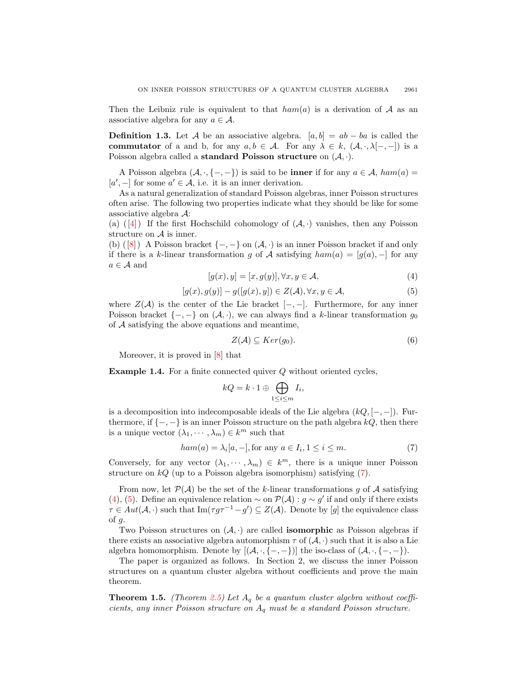Then the Leibniz rule is equivalent to that  $ham(a)$  is a derivation of A as an associative algebra for any  $a \in \mathcal{A}$ .

**Definition 1.3.** Let A be an associative algebra.  $[a, b] = ab - ba$  is called the commutator of a and b, for any  $a, b \in A$ . For any  $\lambda \in k$ ,  $(A, \cdot, \lambda[-, -])$  is a Poisson algebra called a standard Poisson structure on  $(A, \cdot)$ .

A Poisson algebra  $(A, \cdot, \{-, -\})$  is said to be **inner** if for any  $a \in A$ ,  $ham(a)$  $[a', -]$  for some  $a' \in \mathcal{A}$ , i.e. it is an inner derivation.

As a natural generalization of standard Poisson algebras, inner Poisson structures often arise. The following two properties indicate what they should be like for some associative algebra A:

(a) ([\[4\]](#page-13-7)) If the first Hochschild cohomology of  $(A, \cdot)$  vanishes, then any Poisson structure on  $A$  is inner.

(b) ([\[8\]](#page-13-6)) A Poisson bracket  $\{-,-\}$  on  $(\mathcal{A},\cdot)$  is an inner Poisson bracket if and only if there is a k-linear transformation g of A satisfying  $ham(a) = [g(a), -]$  for any  $a \in \mathcal{A}$  and

<span id="page-2-2"></span>
$$
[g(x), y] = [x, g(y)], \forall x, y \in \mathcal{A}, \tag{4}
$$

<span id="page-2-3"></span>
$$
[g(x), g(y)] - g([g(x), y]) \in Z(\mathcal{A}), \forall x, y \in \mathcal{A}, \tag{5}
$$

where  $Z(\mathcal{A})$  is the center of the Lie bracket  $[-,-]$ . Furthermore, for any inner Poisson bracket  $\{-,-\}$  on  $(\mathcal{A},\cdot)$ , we can always find a k-linear transformation  $g_0$ of  $A$  satisfying the above equations and meantime,

$$
Z(\mathcal{A}) \subseteq Ker(g_0). \tag{6}
$$

Moreover, it is proved in [\[8\]](#page-13-6) that

<span id="page-2-0"></span>Example 1.4. For a finite connected quiver Q without oriented cycles,

$$
kQ = k \cdot 1 \oplus \bigoplus_{1 \le i \le m} I_i,
$$

is a decomposition into indecomposable ideals of the Lie algebra  $(kQ, [-,-])$ . Furthermore, if  $\{-,-\}$  is an inner Poisson structure on the path algebra kQ, then there is a unique vector  $(\lambda_1, \dots, \lambda_m) \in k^m$  such that

<span id="page-2-1"></span>
$$
ham(a) = \lambda_i[a, -], \text{for any } a \in I_i, 1 \le i \le m. \tag{7}
$$

Conversely, for any vector  $(\lambda_1, \dots, \lambda_m) \in k^m$ , there is a unique inner Poisson structure on  $kQ$  (up to a Poisson algebra isomorphism) satisfying [\(7\)](#page-2-1).

From now, let  $\mathcal{P}(\mathcal{A})$  be the set of the k-linear transformations q of  $\mathcal A$  satisfying [\(4\)](#page-2-2), [\(5\)](#page-2-3). Define an equivalence relation  $\sim$  on  $\mathcal{P}(\mathcal{A}) : g \sim g'$  if and only if there exists  $\tau \in Aut(\mathcal{A},.)$  such that  $\text{Im}(\tau g \tau^{-1} - g') \subseteq Z(\mathcal{A})$ . Denote by [g] the equivalence class of  $g$ .

Two Poisson structures on  $(A, \cdot)$  are called **isomorphic** as Poisson algebras if there exists an associative algebra automorphism  $\tau$  of  $(\mathcal{A}, \cdot)$  such that it is also a Lie algebra homomorphism. Denote by  $[(\mathcal{A}, \cdot, \{-, -\})]$  the iso-class of  $(\mathcal{A}, \cdot, \{-, -\})$ .

The paper is organized as follows. In Section 2, we discuss the inner Poisson structures on a quantum cluster algebra without coefficients and prove the main theorem.

**Theorem 1.5.** (Theorem [2.5\)](#page-11-0) Let  $A_q$  be a quantum cluster algebra without coefficients, any inner Poisson structure on  $A_q$  must be a standard Poisson structure.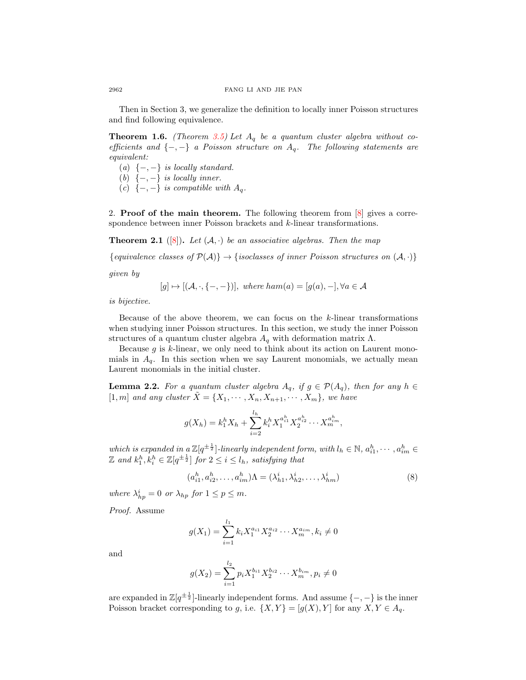Then in Section 3, we generalize the definition to locally inner Poisson structures and find following equivalence.

**Theorem 1.6.** (Theorem [3.5\)](#page-12-0) Let  $A_q$  be a quantum cluster algebra without coefficients and  $\{-,-\}$  a Poisson structure on  $A_q$ . The following statements are equivalent:

- (a)  $\{-,-\}$  is locally standard.
- (b)  $\{-,-\}$  is locally inner.
- (c)  $\{-,-\}$  is compatible with  $A_q$ .

2. **Proof of the main theorem.** The following theorem from  $[8]$  gives a correspondence between inner Poisson brackets and k-linear transformations.

<span id="page-3-2"></span>**Theorem 2.1** ([\[8\]](#page-13-6)). Let  $(A, \cdot)$  be an associative algebras. Then the map

{equivalence classes of  $\mathcal{P}(\mathcal{A})$ }  $\rightarrow$  {isoclasses of inner Poisson structures on  $(\mathcal{A}, \cdot)$ }

given by

$$
[g] \mapsto [(\mathcal{A}, \cdot, \{-, -\})],
$$
 where  $ham(a) = [g(a), -], \forall a \in \mathcal{A}$ 

is bijective.

Because of the above theorem, we can focus on the  $k$ -linear transformations when studying inner Poisson structures. In this section, we study the inner Poisson structures of a quantum cluster algebra  $A_q$  with deformation matrix  $\Lambda$ .

Because  $g$  is  $k$ -linear, we only need to think about its action on Laurent monomials in  $A_q$ . In this section when we say Laurent monomials, we actually mean Laurent monomials in the initial cluster.

<span id="page-3-1"></span>**Lemma 2.2.** For a quantum cluster algebra  $A_q$ , if  $g \in \mathcal{P}(A_q)$ , then for any  $h \in$ [1, m] and any cluster  $\tilde{X} = \{X_1, \cdots, X_n, X_{n+1}, \cdots, X_m\}$ , we have

$$
g(X_h) = k_1^h X_h + \sum_{i=2}^{l_h} k_i^h X_1^{a_{i1}^h} X_2^{a_{i2}^h} \cdots X_m^{a_{im}^h},
$$

which is expanded in a  $\mathbb{Z}[q^{\pm \frac{1}{2}}]$ -linearly independent form, with  $l_h \in \mathbb{N}$ ,  $a_{i1}^h, \dots, a_{im}^h \in$  $\mathbb Z$  and  $k_1^h, k_i^h \in \mathbb Z[q^{\pm \frac{1}{2}}]$  for  $2 \leq i \leq l_h$ , satisfying that

<span id="page-3-0"></span>
$$
(a_{i1}^h, a_{i2}^h, \dots, a_{im}^h) \Lambda = (\lambda_{h1}^i, \lambda_{h2}^i, \dots, \lambda_{hm}^i)
$$
 (8)

where  $\lambda_{hp}^i = 0$  or  $\lambda_{hp}$  for  $1 \leq p \leq m$ .

Proof. Assume

$$
g(X_1) = \sum_{i=1}^{l_1} k_i X_1^{a_{i1}} X_2^{a_{i2}} \cdots X_m^{a_{im}}, k_i \neq 0
$$

and

$$
g(X_2) = \sum_{i=1}^{l_2} p_i X_1^{b_{i1}} X_2^{b_{i2}} \cdots X_m^{b_{im}}, p_i \neq 0
$$

are expanded in  $\mathbb{Z}[q^{\pm \frac{1}{2}}]$ -linearly independent forms. And assume  $\{-,-\}$  is the inner Poisson bracket corresponding to g, i.e.  $\{X,Y\} = [g(X),Y]$  for any  $X, Y \in A_q$ .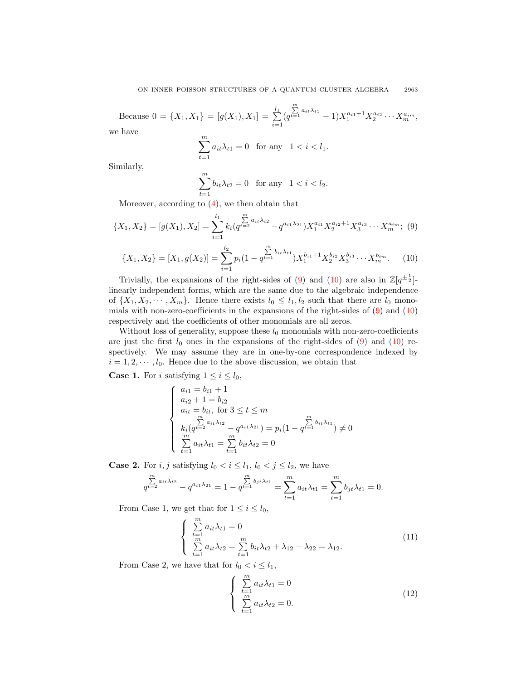Because  $0 = \{X_1, X_1\} = [g(X_1), X_1] = \sum_{i=1}^{l_1} g_i$  $i=1$  $\left(q\right)$  $\sum_{t=1}^{m} a_{it} \lambda_{t1} - 1) X_1^{a_{i1}+1} X_2^{a_{i2}} \cdots X_m^{a_{im}},$ we have

$$
\sum_{t=1}^{m} a_{it} \lambda_{t1} = 0 \quad \text{for any} \quad 1 < i < l_1.
$$

Similarly,

$$
\sum_{t=1}^{m} b_{it} \lambda_{t2} = 0 \quad \text{for any} \quad 1 < i < l_2.
$$

Moreover, according to  $(4)$ , we then obtain that

<span id="page-4-0"></span>
$$
\{X_1, X_2\} = [g(X_1), X_2] = \sum_{i=1}^{l_1} k_i (q^{t=2}^{m} a_{i1} \lambda_{i2} - q^{a_{i1} \lambda_{i2}}) X_1^{a_{i1}} X_2^{a_{i2}+1} X_3^{a_{i3}} \cdots X_m^{a_{im}}; (9)
$$

<span id="page-4-1"></span>
$$
\{X_1, X_2\} = [X_1, g(X_2)] = \sum_{i=1}^{l_2} p_i (1 - q^{\sum_{i=1}^m b_{it} \lambda_{t1}}) X_1^{b_{i1}+1} X_2^{b_{i2}} X_3^{b_{i3}} \cdots X_m^{b_{im}}.
$$
 (10)

Trivially, the expansions of the right-sides of [\(9\)](#page-4-0) and [\(10\)](#page-4-1) are also in  $\mathbb{Z}[q^{\pm \frac{1}{2}}]$ . linearly independent forms, which are the same due to the algebraic independence of  $\{X_1, X_2, \dots, X_m\}$ . Hence there exists  $l_0 \leq l_1, l_2$  such that there are  $l_0$  monomials with non-zero-coefficients in the expansions of the right-sides of  $(9)$  and  $(10)$ respectively and the coefficients of other monomials are all zeros.

Without loss of generality, suppose these  $l_0$  monomials with non-zero-coefficients are just the first  $l_0$  ones in the expansions of the right-sides of  $(9)$  and  $(10)$  respectively. We may assume they are in one-by-one correspondence indexed by  $i = 1, 2, \dots, l_0$ . Hence due to the above discussion, we obtain that

**Case 1.** For i satisfying  $1 \leq i \leq l_0$ ,

$$
\begin{cases}\na_{i1} = b_{i1} + 1 \\
a_{i2} + 1 = b_{i2} \\
a_{it} = b_{it}, \text{ for } 3 \le t \le m \\
\sum_{m}^{m} a_{it} \lambda_{t2} - q^{a_{i1} \lambda_{21}}\n\end{cases}\n\begin{cases}\na_{i1} & \sum_{m}^{m} b_{it} \lambda_{t1} \\
\sum_{m}^{m} a_{it} \lambda_{t1} = \sum_{t=1}^{m} b_{it} \lambda_{t2} = 0\n\end{cases}
$$

**Case 2.** For *i*, *j* satisfying  $l_0 < i \leq l_1$ ,  $l_0 < j \leq l_2$ , we have

$$
\sum_{q^{t=2}}^{m} a_{it} \lambda_{t2} - q^{a_{i1} \lambda_{21}} = 1 - q^{t=1} \sum_{t=1}^{m} b_{jt} \lambda_{t1} = \sum_{t=1}^{m} a_{it} \lambda_{t1} = \sum_{t=1}^{m} b_{jt} \lambda_{t1} = 0.
$$

From Case 1, we get that for  $1 \leq i \leq l_0$ ,

<span id="page-4-2"></span>
$$
\begin{cases}\n\sum_{t=1}^{m} a_{it} \lambda_{t1} = 0 \\
\sum_{t=1}^{m} a_{it} \lambda_{t2} = \sum_{t=1}^{m} b_{it} \lambda_{t2} + \lambda_{12} - \lambda_{22} = \lambda_{12}.\n\end{cases}
$$
\n(11)

From Case 2, we have that for  $l_0 < i \leq l_1$ ,

<span id="page-4-3"></span>
$$
\begin{cases} \sum_{t=1}^{m} a_{it} \lambda_{t1} = 0\\ \sum_{t=1}^{m} a_{it} \lambda_{t2} = 0. \end{cases}
$$
\n(12)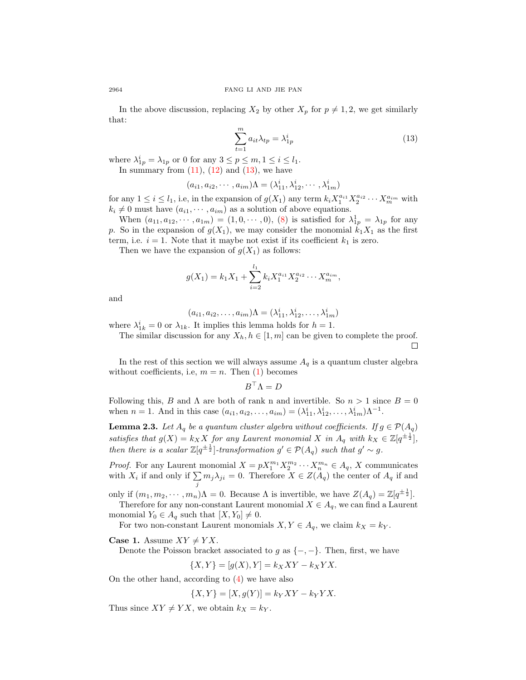In the above discussion, replacing  $X_2$  by other  $X_p$  for  $p \neq 1, 2$ , we get similarly that:

<span id="page-5-0"></span>
$$
\sum_{t=1}^{m} a_{it} \lambda_{tp} = \lambda_{1p}^{i}
$$
 (13)

where  $\lambda_{1p}^i = \lambda_{1p}$  or 0 for any  $3 \le p \le m, 1 \le i \le l_1$ . In summary from  $(11)$ ,  $(12)$  and  $(13)$ , we have

$$
(a_{i1}, a_{i2}, \cdots, a_{im})\Lambda = (\lambda_{11}^i, \lambda_{12}^i, \cdots, \lambda_{1m}^i)
$$

for any  $1 \leq i \leq l_1$ , i.e, in the expansion of  $g(X_1)$  any term  $k_i X_1^{a_{i1}} X_2^{a_{i2}} \cdots X_m^{a_{im}}$  with  $k_i \neq 0$  must have  $(a_{i1}, \dots, a_{im})$  as a solution of above equations.

When  $(a_{11}, a_{12}, \dots, a_{1m}) = (1, 0, \dots, 0)$ , [\(8\)](#page-3-0) is satisfied for  $\lambda_{1p}^1 = \lambda_{1p}$  for any p. So in the expansion of  $g(X_1)$ , we may consider the monomial  $k_1X_1$  as the first term, i.e.  $i = 1$ . Note that it maybe not exist if its coefficient  $k_1$  is zero.

Then we have the expansion of  $g(X_1)$  as follows:

$$
g(X_1) = k_1 X_1 + \sum_{i=2}^{l_1} k_i X_1^{a_{i1}} X_2^{a_{i2}} \cdots X_m^{a_{im}},
$$

and

$$
(a_{i1}, a_{i2}, \dots, a_{im})\Lambda = (\lambda_{11}^i, \lambda_{12}^i, \dots, \lambda_{1m}^i)
$$

where  $\lambda_{1k}^i = 0$  or  $\lambda_{1k}$ . It implies this lemma holds for  $h = 1$ .

The similar discussion for any  $X_h, h \in [1, m]$  can be given to complete the proof.  $\Box$ 

In the rest of this section we will always assume  $A_q$  is a quantum cluster algebra without coefficients, i.e,  $m = n$ . Then [\(1\)](#page-1-0) becomes

$$
B^\top \Lambda = D
$$

Following this, B and  $\Lambda$  are both of rank n and invertible. So  $n > 1$  since  $B = 0$ when  $n = 1$ . And in this case  $(a_{i1}, a_{i2}, \ldots, a_{im}) = (\lambda_{11}^i, \lambda_{12}^i, \ldots, \lambda_{1m}^i) \Lambda^{-1}$ .

<span id="page-5-1"></span>**Lemma 2.3.** Let  $A_q$  be a quantum cluster algebra without coefficients. If  $g \in \mathcal{P}(A_q)$ satisfies that  $g(X) = k_X X$  for any Laurent monomial X in  $A_q$  with  $k_X \in \mathbb{Z}[q^{\pm \frac{1}{2}}]$ , then there is a scalar  $\mathbb{Z}[q^{\pm \frac{1}{2}}]$ -transformation  $g' \in \mathcal{P}(A_q)$  such that  $g' \sim g$ .

*Proof.* For any Laurent monomial  $X = pX_1^{m_1}X_2^{m_2}\cdots X_n^{m_n} \in A_q$ , X communicates with  $X_i$  if and only if  $\sum$  $\sum_j m_j \lambda_{ji} = 0$ . Therefore  $X \in Z(A_q)$  the center of  $A_q$  if and

only if  $(m_1, m_2, \dots, m_n)$  $\Lambda = 0$ . Because  $\Lambda$  is invertible, we have  $Z(A_q) = \mathbb{Z}[q^{\pm \frac{1}{2}}]$ .

Therefore for any non-constant Laurent monomial  $X \in A_q$ , we can find a Laurent monomial  $Y_0 \in A_q$  such that  $[X, Y_0] \neq 0$ .

For two non-constant Laurent monomials  $X, Y \in A_q$ , we claim  $k_X = k_Y$ .

**Case 1.** Assume  $XY \neq YX$ .

Denote the Poisson bracket associated to g as  $\{-,-\}$ . Then, first, we have

$$
\{X,Y\} = [g(X),Y] = k_XXY - k_XYX.
$$

On the other hand, according to [\(4\)](#page-2-2) we have also

$$
\{X,Y\} = [X,g(Y)] = k_Y XY - k_Y Y X.
$$

Thus since  $XY \neq YX$ , we obtain  $k_X = k_Y$ .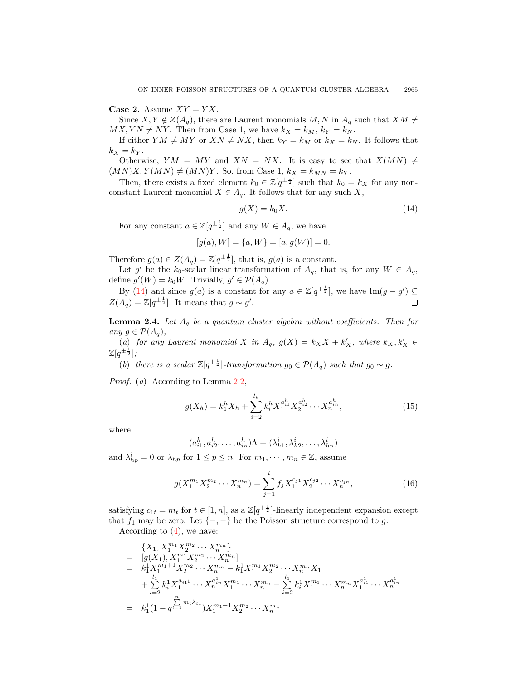Case 2. Assume  $XY = YX$ .

Since  $X, Y \notin Z(A_q)$ , there are Laurent monomials  $M, N$  in  $A_q$  such that  $XM \neq$  $MX, YN \neq NY$ . Then from Case 1, we have  $k_X = k_M$ ,  $k_Y = k_N$ .

If either  $YM \neq MY$  or  $XN \neq NX$ , then  $k_Y = k_M$  or  $k_X = k_N$ . It follows that  $k_X = k_Y$ .

Otherwise,  $YM = MY$  and  $XN = NX$ . It is easy to see that  $X(MN) \neq$  $(MN)X, Y(MN) \neq (MN)Y$ . So, from Case 1,  $k_X = k_{MN} = k_Y$ .

Then, there exists a fixed element  $k_0 \in \mathbb{Z}[q^{\pm \frac{1}{2}}]$  such that  $k_0 = k_X$  for any nonconstant Laurent monomial  $X \in A_q$ . It follows that for any such X,

<span id="page-6-0"></span>
$$
g(X) = k_0 X. \tag{14}
$$

For any constant  $a \in \mathbb{Z}[q^{\pm \frac{1}{2}}]$  and any  $W \in A_q$ , we have

$$
[g(a), W] = \{a, W\} = [a, g(W)] = 0.
$$

Therefore  $g(a) \in Z(A_q) = \mathbb{Z}[q^{\pm \frac{1}{2}}]$ , that is,  $g(a)$  is a constant.

Let g' be the  $k_0$ -scalar linear transformation of  $A_q$ , that is, for any  $W \in A_q$ , define  $g'(W) = k_0 W$ . Trivially,  $g' \in \mathcal{P}(A_q)$ .

By [\(14\)](#page-6-0) and since  $g(a)$  is a constant for any  $a \in \mathbb{Z}[q^{\pm \frac{1}{2}}]$ , we have  $\text{Im}(g - g') \subseteq$  $Z(A_q) = \mathbb{Z}[q^{\pm \frac{1}{2}}]$ . It means that  $g \sim g'$ .

<span id="page-6-2"></span>**Lemma 2.4.** Let  $A_q$  be a quantum cluster algebra without coefficients. Then for any  $g \in \mathcal{P}(A_{a}),$ 

(a) for any Laurent monomial X in  $A_q$ ,  $g(X) = k_X X + k'_X$ , where  $k_X, k'_X \in$  $\mathbb{Z}[q^{\pm \frac{1}{2}}];$ 

(b) there is a scalar  $\mathbb{Z}[q^{\pm \frac{1}{2}}]$ -transformation  $g_0 \in \mathcal{P}(A_q)$  such that  $g_0 \sim g$ .

Proof. (a) According to Lemma [2.2,](#page-3-1)

$$
g(X_h) = k_1^h X_h + \sum_{i=2}^{l_h} k_i^h X_1^{a_{i1}^h} X_2^{a_{i2}^h} \cdots X_n^{a_{in}^h},
$$
\n(15)

where

$$
(a_{i1}^h, a_{i2}^h, \dots, a_{in}^h) \Lambda = (\lambda_{h1}^i, \lambda_{h2}^i, \dots, \lambda_{hn}^i)
$$

and  $\lambda_{hp}^i = 0$  or  $\lambda_{hp}$  for  $1 \leq p \leq n$ . For  $m_1, \dots, m_n \in \mathbb{Z}$ , assume

<span id="page-6-1"></span>
$$
g(X_1^{m_1} X_2^{m_2} \cdots X_n^{m_n}) = \sum_{j=1}^l f_j X_1^{c_{j1}} X_2^{c_{j2}} \cdots X_n^{c_{jn}},
$$
\n(16)

satisfying  $c_{1t} = m_t$  for  $t \in [1, n]$ , as a  $\mathbb{Z}[q^{\pm \frac{1}{2}}]$ -linearly independent expansion except that  $f_1$  may be zero. Let  $\{-,-\}$  be the Poisson structure correspond to g.

According to  $(4)$ , we have:

$$
\{X_1, X_1^{m_1} X_2^{m_2} \cdots X_n^{m_n}\}\
$$
\n
$$
= [g(X_1), X_1^{m_1} X_2^{m_2} \cdots X_n^{m_n}]
$$
\n
$$
= k_1^1 X_1^{m_1+1} X_2^{m_2} \cdots X_n^{m_n} - k_1^1 X_1^{m_1} X_2^{m_2} \cdots X_n^{m_n} X_1
$$
\n
$$
+ \sum_{i=2}^{l_1} k_i^1 X_1^{a_{i11}} \cdots X_n^{a_{in}^1} X_1^{m_1} \cdots X_n^{m_n} - \sum_{i=2}^{l_1} k_i^1 X_1^{m_1} \cdots X_n^{m_n} X_1^{a_{i1}^1} \cdots X_n^{a_{in}^1}
$$
\n
$$
= k_1^1 (1 - q^{\sum_{i=1}^{n} m_i \lambda_{i1}}) X_1^{m_1+1} X_2^{m_2} \cdots X_n^{m_n}
$$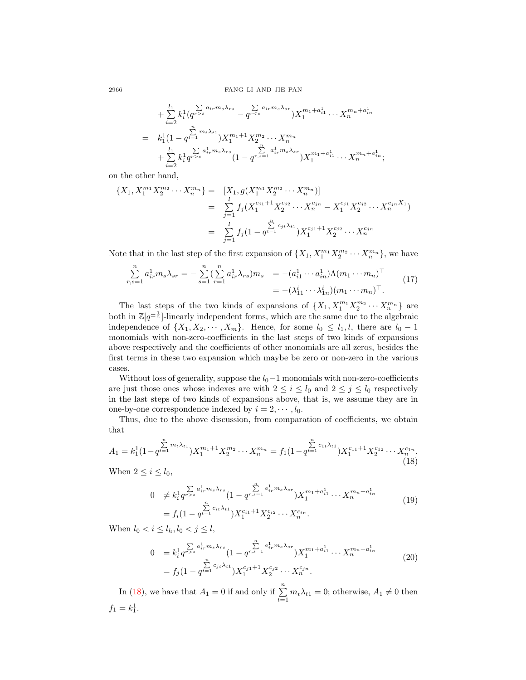$$
+\sum_{i=2}^{l_1} k_i^1 (q^{r>s} - q^{r  
=  $k_1^1 (1 - q^{t=1}) X_1^{m_1+1} X_2^{m_2} \cdots X_n^{m_n}$   
+  $\sum_{i=2}^{l_1} k_i^1 q^{r>s} {a_{ir}^1 m_s \lambda_{rs}} (1 - q^{r,s=1} {a_{ir}^1 m_s \lambda_{sr}}) X_1^{m_1 + a_{i1}^1} \cdots X_n^{m_n + a_{in}^1};$
$$

on the other hand,

$$
\{X_1, X_1^{m_1} X_2^{m_2} \cdots X_n^{m_n}\} = [X_1, g(X_1^{m_1} X_2^{m_2} \cdots X_n^{m_n})]
$$
  

$$
= \sum_{j=1}^l f_j(X_1^{c_{j1}+1} X_2^{c_{j2}} \cdots X_n^{c_{jn}} - X_1^{c_{j1}} X_2^{c_{j2}} \cdots X_n^{c_{jn} X_1})
$$
  

$$
= \sum_{j=1}^l f_j(1 - q^{t=1}^{c_{j1} \lambda_{t1}}) X_1^{c_{j1}+1} X_2^{c_{j2}} \cdots X_n^{c_{jn}}
$$

Note that in the last step of the first expansion of  $\{X_1, X_1^{m_1} X_2^{m_2} \cdots X_n^{m_n}\}$ , we have

<span id="page-7-2"></span>
$$
\sum_{r,s=1}^{n} a_{ir}^{1} m_s \lambda_{sr} = -\sum_{s=1}^{n} \left( \sum_{r=1}^{n} a_{ir}^{1} \lambda_{rs} \right) m_s = -(a_{i1}^{1} \cdots a_{in}^{1}) \Lambda (m_1 \cdots m_n)^{\top}
$$
  
= -(\lambda\_{11}^{i} \cdots \lambda\_{1n}^{i}) (m\_1 \cdots m\_n)^{\top}. (17)

The last steps of the two kinds of expansions of  $\{X_1, X_1^{m_1} X_2^{m_2} \cdots X_n^{m_n}\}$  are both in  $\mathbb{Z}[q^{\pm \frac{1}{2}}]$ -linearly independent forms, which are the same due to the algebraic independence of  $\{X_1, X_2, \cdots, X_m\}$ . Hence, for some  $l_0 \leq l_1, l$ , there are  $l_0 - 1$ monomials with non-zero-coefficients in the last steps of two kinds of expansions above respectively and the coefficients of other monomials are all zeros, besides the first terms in these two expansion which maybe be zero or non-zero in the various cases.

Without loss of generality, suppose the  $l_0-1$  monomials with non-zero-coefficients are just those ones whose indexes are with  $2 \leq i \leq l_0$  and  $2 \leq j \leq l_0$  respectively in the last steps of two kinds of expansions above, that is, we assume they are in one-by-one correspondence indexed by  $i = 2, \dots, l_0$ .

Thus, due to the above discussion, from comparation of coefficients, we obtain that

<span id="page-7-0"></span>
$$
A_1 = k_1^1 (1 - q^{t-1}^{m_t \lambda_{t1}}) X_1^{m_1+1} X_2^{m_2} \cdots X_n^{m_n} = f_1 (1 - q^{t-1}^{m_t \lambda_{t1}}) X_1^{c_{11}+1} X_2^{c_{12}} \cdots X_n^{c_{1n}}.
$$
\n(18)

When  $2 \leq i \leq l_0$ ,

<span id="page-7-1"></span>
$$
0 \neq k_1^1 q^{r>s} \sum_{i_1, i_2, \ldots, i_k}^{n} a_{i_1, i_1, i_2, \ldots, i_k}^{n} (1 - q^{r, s-1} \sum_{i_1, i_2, \ldots, i_k}^{n} X_1^{m_1 + n} \cdots X_n^{m_n + n} \cdots (19)
$$
  
=  $f_i (1 - q^{t-1} \sum_{i_1, i_2, \ldots, i_k}^{n} X_1^{c_{i_1} + 1} X_2^{c_{i_2} + \ldots + x_n^{c_{i_n}} \cdots (19))$ 

When  $l_0 < i \leq l_h, l_0 < j \leq l$ ,

<span id="page-7-3"></span>
$$
0 = k_i^1 q^{r>s} \sum_{i,m}^{a_{ir}^1 m_s \lambda_{rs}} (1 - q^{r,s=1} \sum_{i,m}^{a_{ir}^1 m_s \lambda_{sr}}) X_1^{m_1 + a_{i1}^1} \cdots X_n^{m_n + a_{in}^1}
$$
  
=  $f_j (1 - q^{r=1} \sum_{i,m}^{a_{ir}^1 m_s} X_1^{c_{j1} + 1} X_2^{c_{j2}} \cdots X_n^{c_{jn}}$ . (20)

In [\(18\)](#page-7-0), we have that  $A_1 = 0$  if and only if  $\sum_{t=1}^{n} m_t \lambda_{t1} = 0$ ; otherwise,  $A_1 \neq 0$  then  $f_1 = k_1^1.$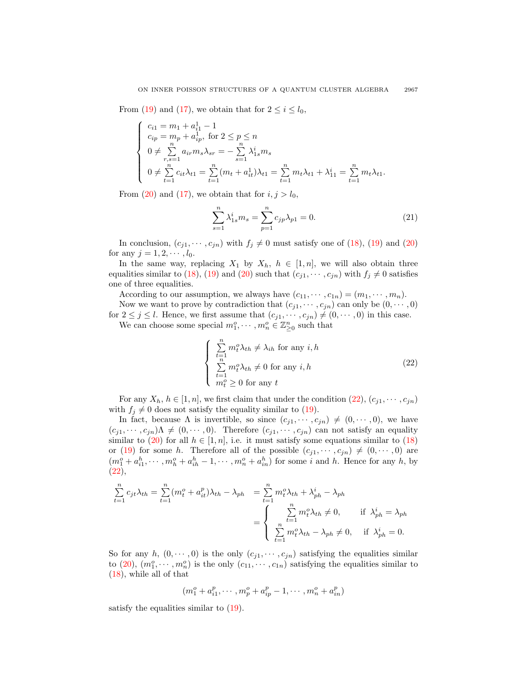From [\(19\)](#page-7-1) and [\(17\)](#page-7-2), we obtain that for  $2 \leq i \leq l_0$ ,

$$
\begin{cases}\nc_{i1} = m_{1} + a_{i1}^{1} - 1 \\
c_{ip} = m_{p} + a_{ip}^{1}, \text{ for } 2 \leq p \leq n \\
0 \neq \sum_{r,s=1}^{n} a_{ir} m_{s} \lambda_{sr} = -\sum_{s=1}^{n} \lambda_{1s}^{i} m_{s} \\
0 \neq \sum_{t=1}^{n} c_{it} \lambda_{t1} = \sum_{t=1}^{n} (m_{t} + a_{it}^{1}) \lambda_{t1} = \sum_{t=1}^{n} m_{t} \lambda_{t1} + \lambda_{11}^{i} = \sum_{t=1}^{n} m_{t} \lambda_{t1}.\n\end{cases}
$$

From [\(20\)](#page-7-3) and [\(17\)](#page-7-2), we obtain that for  $i, j > l_0$ ,

<span id="page-8-1"></span>
$$
\sum_{s=1}^{n} \lambda_{1s}^{i} m_s = \sum_{p=1}^{n} c_{jp} \lambda_{p1} = 0.
$$
 (21)

In conclusion,  $(c_{j1}, \dots, c_{jn})$  with  $f_j \neq 0$  must satisfy one of [\(18\)](#page-7-0), [\(19\)](#page-7-1) and [\(20\)](#page-7-3) for any  $j = 1, 2, \dots, l_0$ .

In the same way, replacing  $X_1$  by  $X_h$ ,  $h \in [1, n]$ , we will also obtain three equalities similar to [\(18\)](#page-7-0), [\(19\)](#page-7-1) and [\(20\)](#page-7-3) such that  $(c_{i1}, \dots, c_{in})$  with  $f_i \neq 0$  satisfies one of three equalities.

According to our assumption, we always have  $(c_{11}, \dots, c_{1n}) = (m_1, \dots, m_n)$ . Now we want to prove by contradiction that  $(c_{i1}, \dots, c_{in})$  can only be  $(0, \dots, 0)$ 

for  $2 \leq j \leq l$ . Hence, we first assume that  $(c_{j1}, \dots, c_{jn}) \neq (0, \dots, 0)$  in this case. We can choose some special  $m_1^o, \cdots, m_n^o \in \mathbb{Z}_{\geq 0}^n$  such that

<span id="page-8-0"></span>
$$
\begin{cases}\n\sum_{t=1}^{n} m_t^o \lambda_{th} \neq \lambda_{ih} \text{ for any } i, h \\
\sum_{t=1}^{n} m_t^o \lambda_{th} \neq 0 \text{ for any } i, h \\
m_t^o \geq 0 \text{ for any } t\n\end{cases}
$$
\n(22)

For any  $X_h$ ,  $h \in [1, n]$ , we first claim that under the condition  $(22)$ ,  $(c_{j1}, \dots, c_{jn})$ with  $f_j \neq 0$  does not satisfy the equality similar to [\(19\)](#page-7-1).

In fact, because  $\Lambda$  is invertible, so since  $(c_{j1}, \dots, c_{jn}) \neq (0, \dots, 0)$ , we have  $(c_{j1}, \dots, c_{jn})\Lambda \neq (0, \dots, 0)$ . Therefore  $(c_{j1}, \dots, c_{jn})$  can not satisfy an equality similar to [\(20\)](#page-7-3) for all  $h \in [1, n]$ , i.e. it must satisfy some equations similar to [\(18\)](#page-7-0) or [\(19\)](#page-7-1) for some h. Therefore all of the possible  $(c_{j1}, \dots, c_{jn}) \neq (0, \dots, 0)$  are  $(m_1^o + a_{i1}^h, \dots, m_h^o + a_{ih}^h - 1, \dots, m_n^o + a_{in}^h)$  for some *i* and *h*. Hence for any *h*, by  $(22),$  $(22),$ 

$$
\sum_{t=1}^{n} c_{jt} \lambda_{th} = \sum_{t=1}^{n} (m_t^o + a_{it}^p) \lambda_{th} - \lambda_{ph} = \sum_{t=1}^{n} m_t^o \lambda_{th} + \lambda_{ph}^i - \lambda_{ph}
$$

$$
= \begin{cases} \sum_{t=1}^{n} m_t^o \lambda_{th} \neq 0, & \text{if } \lambda_{ph}^i = \lambda_{ph} \\ \sum_{t=1}^{n} m_t^o \lambda_{th} - \lambda_{ph} \neq 0, & \text{if } \lambda_{ph}^i = 0. \end{cases}
$$

So for any h,  $(0, \dots, 0)$  is the only  $(c_{i1}, \dots, c_{in})$  satisfying the equalities similar to [\(20\)](#page-7-3),  $(m_1^o, \dots, m_n^o)$  is the only  $(c_{11}, \dots, c_{1n})$  satisfying the equalities similar to [\(18\)](#page-7-0), while all of that

$$
(m_1^o + a_{i1}^p, \cdots, m_p^o + a_{ip}^p - 1, \cdots, m_n^o + a_{in}^p)
$$

satisfy the equalities similar to [\(19\)](#page-7-1).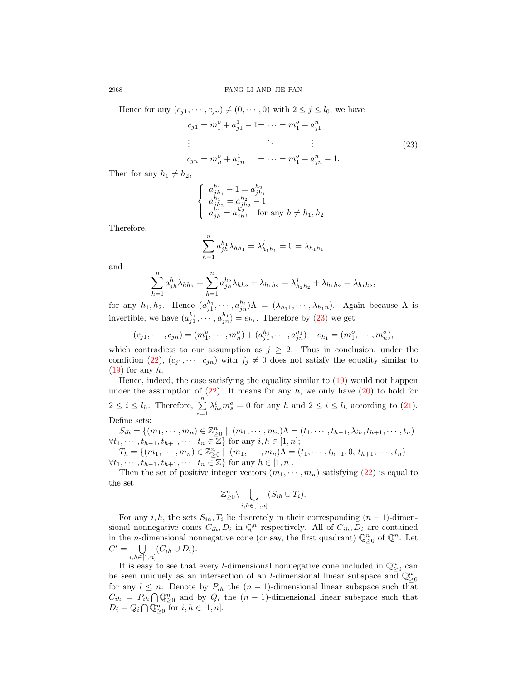Hence for any  $(c_{i1}, \dots, c_{in}) \neq (0, \dots, 0)$  with  $2 \leq j \leq l_0$ , we have

$$
c_{j1} = m_1^o + a_{j1}^1 - 1 = \dots = m_1^o + a_{j1}^n
$$
  
\n
$$
\vdots \qquad \vdots \qquad \vdots
$$
  
\n
$$
c_{jn} = m_n^o + a_{jn}^1 = \dots = m_1^o + a_{jn}^n - 1.
$$
  
\n(23)

<span id="page-9-0"></span>,

Then for any  $h_1 \neq h_2$ ,

$$
\left\{\begin{array}{l} a_{jh_1}^{h_1}-1=a_{jh_1}^{h_2}\\ a_{j_1}^{h_1}=a_{jh_2}^{h_2}-1\\ a_{jh}^{h_1}=a_{jh}^{h_2}, \quad \text{for any } h\neq h_1, h_2\\ a_{jh}^{h_1}=a_{jh}^{h_2}, \quad \text{for any } h\neq h_1, h_2 \end{array}\right.
$$

Therefore,

$$
\sum_{h=1}^{n} a_{jh}^{h_1} \lambda_{hh_1} = \lambda_{h_1 h_1}^j = 0 = \lambda_{h_1 h_1}
$$

and

$$
\sum_{h=1}^{n} a_{jh}^{h_1} \lambda_{hh_2} = \sum_{h=1}^{n} a_{jh}^{h_2} \lambda_{hh_2} + \lambda_{h_1h_2} = \lambda_{h_2h_2}^j + \lambda_{h_1h_2} = \lambda_{h_1h_2}
$$

for any  $h_1, h_2$ . Hence  $(a_{j1}^{h_1}, \dots, a_{jn}^{h_n})\Lambda = (\lambda_{h_11}, \dots, \lambda_{h_1n})$ . Again because  $\Lambda$  is invertible, we have  $(a_{j1}^{h_1}, \cdots, a_{jn}^{h_n}) = e_{h_1}$ . Therefore by [\(23\)](#page-9-0) we get

$$
(c_{j1}, \dots, c_{jn}) = (m_1^o, \dots, m_n^o) + (a_{j1}^{h_1}, \dots, a_{jn}^{h_1}) - e_{h_1} = (m_1^o, \dots, m_n^o),
$$

which contradicts to our assumption as  $j \geq 2$ . Thus in conclusion, under the condition [\(22\)](#page-8-0),  $(c_{j1}, \dots, c_{jn})$  with  $f_j \neq 0$  does not satisfy the equality similar to  $(19)$  for any h.

Hence, indeed, the case satisfying the equality similar to [\(19\)](#page-7-1) would not happen under the assumption of  $(22)$ . It means for any h, we only have  $(20)$  to hold for  $2 \leq i \leq l_h$ . Therefore,  $\sum_{s=1}^{n} \lambda_{hs}^i m_s^o = 0$  for any h and  $2 \leq i \leq l_h$  according to [\(21\)](#page-8-1). Define sets:

 $S_{ih} = \{ (m_1, \dots, m_n) \in \mathbb{Z}_{\geq 0}^n \mid (m_1, \dots, m_n) \Lambda = (t_1, \dots, t_{h-1}, \lambda_{ih}, t_{h+1}, \dots, t_n) \}$  $\forall t_1, \dots, t_{h-1}, t_{h+1}, \dots, t_n \in \mathbb{Z} \}$  for any  $i, h \in [1, n];$ 

 $T_h = \{ (m_1, \dots, m_n) \in \mathbb{Z}_{\geq 0}^n \mid (m_1, \dots, m_n) \Lambda = (t_1, \dots, t_{h-1}, 0, t_{h+1}, \dots, t_n) \}$  $\forall t_1, \dots, t_{h-1}, t_{h+1}, \dots, t_n \in \mathbb{Z} \}$  for any  $h \in [1, n]$ .

Then the set of positive integer vectors  $(m_1, \dots, m_n)$  satisfying  $(22)$  is equal to the set

$$
\mathbb{Z}_{\geq 0}^n \setminus \bigcup_{i,h \in [1,n]} (S_{ih} \cup T_i).
$$

For any  $i, h$ , the sets  $S_{ih}, T_i$  lie discretely in their corresponding  $(n-1)$ -dimensional nonnegative cones  $C_{ih}, D_i$  in  $\mathbb{Q}^n$  respectively. All of  $C_{ih}, D_i$  are contained in the *n*-dimensional nonnegative cone (or say, the first quadrant)  $\mathbb{Q}_{\geq 0}^n$  of  $\mathbb{Q}^n$ . Let  $C' = \bigcup (C_{ih} \cup D_i).$ 

$$
i,\scriptstyle h\in\left[ 1,n\right]
$$

It is easy to see that every *l*-dimensional nonnegative cone included in  $\mathbb{Q}^n_{\geq 0}$  can be seen uniquely as an intersection of an *l*-dimensional linear subspace and  $\mathbb{Q}^n_{\geq 0}$ for any  $l \leq n$ . Denote by  $P_{ih}$  the  $(n-1)$ -dimensional linear subspace such that  $C_{ih} = P_{ih} \bigcap \mathbb{Q}_{\geq 0}^n$  and by  $Q_i$  the  $(n-1)$ -dimensional linear subspace such that  $D_i = Q_i \cap \overline{Q}^n_{\geq 0}$  for  $i, h \in [1, n]$ .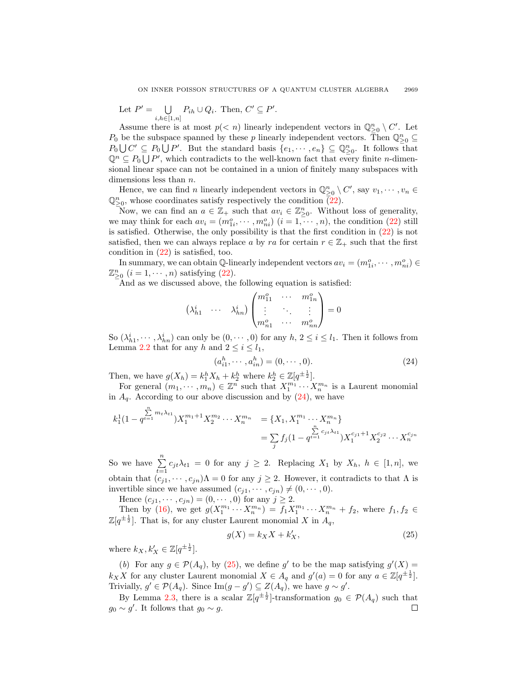Let  $P' = \bigcup$  $\bigcup_{i,h\in[1,n]} P_{ih} \cup Q_i$ . Then,  $C' \subseteq P'$ .

Assume there is at most  $p(< n)$  linearly independent vectors in  $\mathbb{Q}^n_{\geq 0} \setminus C'$ . Let  $P_0$  be the subspace spanned by these p linearly independent vectors. Then  $\mathbb{Q}^n_{\geq 0} \subseteq$  $P_0\bigcup C' \subseteq P_0\bigcup P'$ . But the standard basis  $\{e_1,\dots, e_n\} \subseteq \mathbb{Q}_{\geq 0}^n$ . It follows that  $\mathbb{Q}^n \subseteq P_0 \cup P'$ , which contradicts to the well-known fact that every finite *n*-dimensional linear space can not be contained in a union of finitely many subspaces with dimensions less than  $n$ .

Hence, we can find *n* linearly independent vectors in  $\mathbb{Q}_{\geq 0}^n \setminus C'$ , say  $v_1, \dots, v_n \in$  $\mathbb{Q}^n_{\geq 0}$ , whose coordinates satisfy respectively the condition  $\overline{(22)}$  $\overline{(22)}$  $\overline{(22)}$ .

Now, we can find an  $a \in \mathbb{Z}_+$  such that  $av_i \in \mathbb{Z}_{\geq 0}^n$ . Without loss of generality, we may think for each  $av_i = (m_{1i}^o, \dots, m_{ni}^o)$   $(i = 1, \dots, n)$ , the condition [\(22\)](#page-8-0) still is satisfied. Otherwise, the only possibility is that the first condition in [\(22\)](#page-8-0) is not satisfied, then we can always replace a by ra for certain  $r \in \mathbb{Z}_+$  such that the first condition in  $(22)$  is satisfied, too.

In summary, we can obtain  $\mathbb{Q}$ -linearly independent vectors  $av_i = (m_{1i}^o, \dots, m_{ni}^o) \in$  $\mathbb{Z}_{\geq 0}^n$   $(i = 1, \cdots, n)$  satisfying [\(22\)](#page-8-0).

And as we discussed above, the following equation is satisfied:

$$
\begin{pmatrix}\n\lambda_{h1}^i & \cdots & \lambda_{hn}^i\n\end{pmatrix}\n\begin{pmatrix}\nm_{11}^o & \cdots & m_{1n}^o \\
\vdots & \ddots & \vdots \\
m_{n1}^o & \cdots & m_{nn}^o\n\end{pmatrix} = 0
$$

So  $(\lambda_{h1}^i, \dots, \lambda_{hn}^i)$  can only be  $(0, \dots, 0)$  for any  $h, 2 \le i \le l_1$ . Then it follows from Lemma [2.2](#page-3-1) that for any h and  $2 \leq i \leq l_1$ .

<span id="page-10-0"></span>
$$
(a_{i1}^h, \cdots, a_{in}^h) = (0, \cdots, 0). \tag{24}
$$

Then, we have  $g(X_h) = k_1^h X_h + k_2^h$  where  $k_2^h \in \mathbb{Z}[q^{\pm \frac{1}{2}}]$ .

For general  $(m_1, \dots, m_n) \in \mathbb{Z}^n$  such that  $X_1^{m_1} \dots X_n^{m_n}$  is a Laurent monomial in  $A_q$ . According to our above discussion and by  $(24)$ , we have

$$
k_1^1 (1 - q^{\sum_{i=1}^n m_i \lambda_{t1}}) X_1^{m_1 + 1} X_2^{m_2} \cdots X_n^{m_n} = \{X_1, X_1^{m_1} \cdots X_n^{m_n}\}
$$
  
= 
$$
\sum_j f_j (1 - q^{\sum_{i=1}^n c_{jt} \lambda_{t1}}) X_1^{c_{j1} + 1} X_2^{c_{j2}} \cdots X_n^{c_{jn}}
$$

So we have  $\sum_{t=1}^{n} c_{jt} \lambda_{t1} = 0$  for any  $j \geq 2$ . Replacing  $X_1$  by  $X_h$ ,  $h \in [1, n]$ , we obtain that  $(c_{j1}, \dots, c_{jn})\Lambda = 0$  for any  $j \geq 2$ . However, it contradicts to that  $\Lambda$  is invertible since we have assumed  $(c_{i1}, \dots, c_{in}) \neq (0, \dots, 0)$ .

Hence  $(c_{j1}, \dots, c_{jn}) = (0, \dots, 0)$  for any  $j \ge 2$ .

Then by [\(16\)](#page-6-1), we get  $g(X_1^{m_1} \cdots X_n^{m_n}) = f_1 X_1^{m_1} \cdots X_n^{m_n} + f_2$ , where  $f_1, f_2 \in$  $\mathbb{Z}[q^{\pm \frac{1}{2}}]$ . That is, for any cluster Laurent monomial X in  $A_q$ ,

<span id="page-10-1"></span>
$$
g(X) = k_X X + k'_X,\tag{25}
$$

where  $k_X, k'_X \in \mathbb{Z}[q^{\pm \frac{1}{2}}].$ 

(b) For any  $g \in \mathcal{P}(A_q)$ , by [\(25\)](#page-10-1), we define g' to be the map satisfying  $g'(X) =$  $k_X X$  for any cluster Laurent monomial  $X \in A_q$  and  $g'(a) = 0$  for any  $a \in \mathbb{Z}[q^{\pm \frac{1}{2}}]$ . Trivially,  $g' \in \mathcal{P}(A_q)$ . Since Im $(g - g') \subseteq Z(A_q)$ , we have  $g \sim g'$ .

By Lemma [2.3,](#page-5-1) there is a scalar  $\mathbb{Z}[q^{\pm \frac{1}{2}}]$ -transformation  $g_0 \in \mathcal{P}(A_q)$  such that  $g_0 \sim g'$ . It follows that  $g_0 \sim g$ . □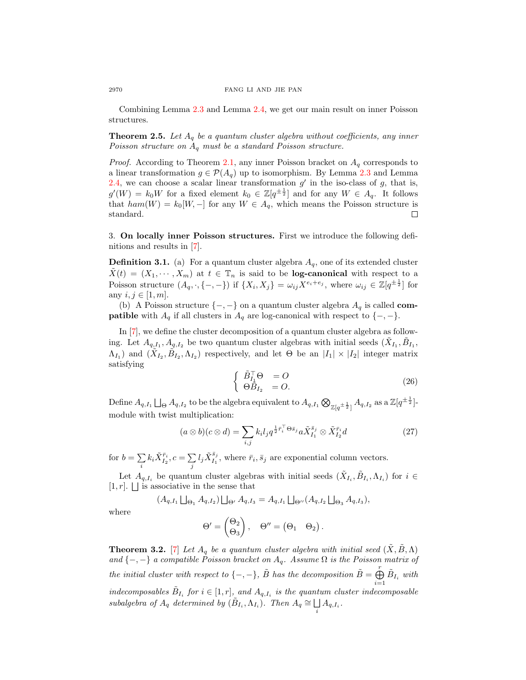Combining Lemma [2.3](#page-5-1) and Lemma [2.4,](#page-6-2) we get our main result on inner Poisson structures.

<span id="page-11-0"></span>**Theorem 2.5.** Let  $A_q$  be a quantum cluster algebra without coefficients, any inner Poisson structure on  $A_q$  must be a standard Poisson structure.

*Proof.* According to Theorem [2.1,](#page-3-2) any inner Poisson bracket on  $A_q$  corresponds to a linear transformation  $g \in \mathcal{P}(A_q)$  up to isomorphism. By Lemma [2.3](#page-5-1) and Lemma [2.4,](#page-6-2) we can choose a scalar linear transformation  $g'$  in the iso-class of  $g$ , that is,  $g'(W) = k_0 W$  for a fixed element  $k_0 \in \mathbb{Z}[q^{\pm \frac{1}{2}}]$  and for any  $W \in A_q$ . It follows that  $ham(W) = k_0[W, -]$  for any  $W \in A_q$ , which means the Poisson structure is standard. □

3. On locally inner Poisson structures. First we introduce the following definitions and results in [\[7\]](#page-13-0).

**Definition 3.1.** (a) For a quantum cluster algebra  $A<sub>q</sub>$ , one of its extended cluster  $\tilde{X}(t) = (X_1, \dots, X_m)$  at  $t \in \mathbb{T}_n$  is said to be **log-canonical** with respect to a Poisson structure  $(A_q, \cdot, \{-, -\})$  if  $\{X_i, X_j\} = \omega_{ij} X^{e_i + e_j}$ , where  $\omega_{ij} \in \mathbb{Z}[q^{\pm \frac{1}{2}}]$  for any  $i, j \in [1, m]$ .

(b) A Poisson structure  $\{-,-\}$  on a quantum cluster algebra  $A_q$  is called **compatible** with  $A_q$  if all clusters in  $A_q$  are log-canonical with respect to  $\{-, -\}.$ 

In [\[7\]](#page-13-0), we define the cluster decomposition of a quantum cluster algebra as following. Let  $A_{q,I_1}, A_{q,I_2}$  be two quantum cluster algebras with initial seeds  $(\tilde{X}_{I_1}, \tilde{B}_{I_1},$  $\Lambda_{I_1}$ ) and  $(\tilde{X}_{I_2}, \tilde{B}_{I_2}, \Lambda_{I_2})$  respectively, and let  $\Theta$  be an  $|I_1| \times |I_2|$  integer matrix satisfying

<span id="page-11-1"></span>
$$
\begin{cases}\n\tilde{B}_{I_1}^{\top} \Theta = O \\
\Theta \tilde{B}_{I_2} = O.\n\end{cases} (26)
$$

Define  $A_{q,I_1} \bigsqcup_\Theta A_{q,I_2}$  to be the algebra equivalent to  $A_{q,I_1} \bigotimes_{\mathbb{Z}[q^{\pm \frac{1}{2}}]} A_{q,I_2}$  as a  $\mathbb{Z}[q^{\pm \frac{1}{2}}]$ module with twist multiplication:

<span id="page-11-2"></span>
$$
(a \otimes b)(c \otimes d) = \sum_{i,j} k_i l_j q^{\frac{1}{2}\bar{r}_i^{\top} \Theta \bar{s}_j} a \tilde{X}_{I_1}^{\bar{s}_j} \otimes \tilde{X}_{I_2}^{\bar{r}_i} d \tag{27}
$$

for  $b = \sum$  $\sum\limits_{i}k_{i}\tilde{X}^{\bar{r}_{i}}_{I_{2}},c=\sum\limits_{j}% \tilde{X}_{I_{2}}^{I_{1}}$  $\sum\limits_j l_j \tilde{X}^{\bar{s}_j}_{I_1}$  $I_1^{s_j}$ , where  $\bar{r}_i, \bar{s}_j$  are exponential column vectors.

Let  $A_{q,I_i}$  be quantum cluster algebras with initial seeds  $(\tilde{X}_{I_i}, \tilde{B}_{I_i}, \Lambda_{I_i})$  for  $i \in$  $[1, r]$ .  $\Box$  is associative in the sense that

$$
(A_{q,I_1} \bigsqcup_{\Theta_1} A_{q,I_2}) \bigsqcup_{\Theta'} A_{q,I_3} = A_{q,I_1} \bigsqcup_{\Theta''} (A_{q,I_2} \bigsqcup_{\Theta_3} A_{q,I_3}),
$$

where

$$
\Theta' = \begin{pmatrix} \Theta_2 \\ \Theta_3 \end{pmatrix}, \quad \Theta'' = \begin{pmatrix} \Theta_1 & \Theta_2 \end{pmatrix}.
$$

**Theorem 3.2.** [\[7\]](#page-13-0) Let  $A_q$  be a quantum cluster algebra with initial seed  $(X, B, \Lambda)$ and  $\{-,-\}$  a compatible Poisson bracket on  $A_q$ . Assume  $\Omega$  is the Poisson matrix of the initial cluster with respect to  $\{-,-\}$ ,  $\tilde{B}$  has the decomposition  $\tilde{B} = \bigoplus_{i=1}^{r}$  $i=1$  $\tilde{B}_{I_i}$  with indecomposables  $\tilde{B}_{I_i}$  for  $i \in [1, r]$ , and  $A_{q, I_i}$  is the quantum cluster indecomposable subalgebra of  $A_q$  determined by  $(\tilde{B}_{I_i}, \Lambda_{I_i})$ . Then  $A_q \cong \bigsqcup$  $\mathop{\textstyle \int}\limits_i A_{q,I_i}.$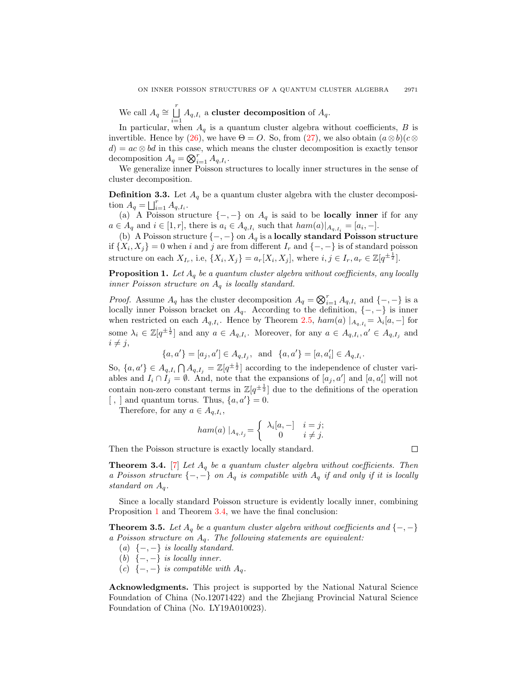We call  $A_q \cong \bigcup^r$  $\bigsqcup_{i=1} A_{q,I_i}$  a cluster decomposition of  $A_q$ .

In particular, when  $A_q$  is a quantum cluster algebra without coefficients,  $B$  is invertible. Hence by [\(26\)](#page-11-1), we have  $\Theta = O$ . So, from [\(27\)](#page-11-2), we also obtain  $(a \otimes b)(c \otimes$  $d = ac \otimes bd$  in this case, which means the cluster decomposition is exactly tensor decomposition  $A_q = \bigotimes_{i=1}^r A_{q,I_i}$ .

We generalize inner Poisson structures to locally inner structures in the sense of cluster decomposition.

**Definition 3.3.** Let  $A_q$  be a quantum cluster algebra with the cluster decomposition  $A_q = \bigsqcup_{i=1}^r A_{q,I_i}$ .

(a) A Poisson structure  $\{-,-\}$  on  $A_q$  is said to be **locally inner** if for any  $a \in A_q$  and  $i \in [1, r]$ , there is  $a_i \in A_{q, I_i}$  such that  $ham(a)|_{A_{q, I_i}} = [a_i, -]$ .

(b) A Poisson structure  $\{-,-\}$  on  $A_q$  is a locally standard Poisson structure if  $\{X_i, X_j\} = 0$  when i and j are from different  $I_r$  and  $\{-, -\}$  is of standard poisson structure on each  $X_{I_r}$ , i.e,  $\{X_i, X_j\} = a_r[X_i, X_j]$ , where  $i, j \in I_r$ ,  $a_r \in \mathbb{Z}[q^{\pm \frac{1}{2}}]$ .

<span id="page-12-1"></span>**Proposition 1.** Let  $A_q$  be a quantum cluster algebra without coefficients, any locally inner Poisson structure on  $A_q$  is locally standard.

*Proof.* Assume  $A_q$  has the cluster decomposition  $A_q = \bigotimes_{i=1}^r A_{q,I_i}$  and  $\{-, -\}$  is a locally inner Poisson bracket on  $A_q$ . According to the definition,  $\{-,-\}$  is inner when restricted on each  $A_{q,I_i}$ . Hence by Theorem [2.5,](#page-11-0)  $ham(a) |_{A_{q,I_i}} = \lambda_i [a, -]$  for some  $\lambda_i \in \mathbb{Z}[q^{\pm \frac{1}{2}}]$  and any  $a \in A_{q,I_i}$ . Moreover, for any  $a \in A_{q,I_i}$ ,  $a' \in A_{q,I_j}$  and  $i \neq j$ ,

$$
\{a,a'\}=[a_j,a']\in A_{q,I_j},~~{\rm and}~~\{a,a'\}=[a,a_i']\in A_{q,I_i}.
$$

So,  $\{a, a'\} \in A_{q,I_i} \cap A_{q,I_j} = \mathbb{Z}[q^{\pm \frac{1}{2}}]$  according to the independence of cluster variables and  $I_i \cap I_j = \emptyset$ . And, note that the expansions of  $[a_j, a']$  and  $[a, a'_i]$  will not contain non-zero constant terms in  $\mathbb{Z}[q^{\pm \frac{1}{2}}]$  due to the definitions of the operation  $\langle , \rangle$  and quantum torus. Thus,  $\{a, a'\} = 0$ .

Therefore, for any  $a \in A_{q,I_i}$ ,

$$
ham(a) |_{A_q, I_j} = \begin{cases} \lambda_i [a, -] & i = j; \\ 0 & i \neq j. \end{cases}
$$

Then the Poisson structure is exactly locally standard.

<span id="page-12-2"></span>**Theorem 3.4.** [\[7\]](#page-13-0) Let  $A_q$  be a quantum cluster algebra without coefficients. Then a Poisson structure  $\{-,-\}$  on  $A_q$  is compatible with  $A_q$  if and only if it is locally standard on  $A_q$ .

Since a locally standard Poisson structure is evidently locally inner, combining Proposition [1](#page-12-1) and Theorem [3.4,](#page-12-2) we have the final conclusion:

<span id="page-12-0"></span>**Theorem 3.5.** Let  $A_q$  be a quantum cluster algebra without coefficients and  $\{-, -\}$ a Poisson structure on  $A_q$ . The following statements are equivalent:

- (a)  $\{-,-\}$  is locally standard.
- (b)  $\{-,-\}$  is locally inner.
- (c)  $\{-,-\}$  is compatible with  $A_q$ .

Acknowledgments. This project is supported by the National Natural Science Foundation of China (No.12071422) and the Zhejiang Provincial Natural Science Foundation of China (No. LY19A010023).

 $\Box$